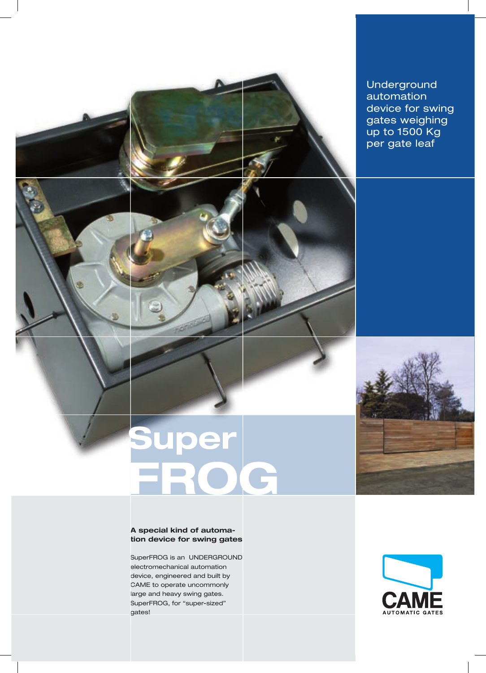Underground automation device for swing gates weighing up to 1500 Kg per gate leaf

# **Super FROG**

#### **A special kind of automation device for swing gates**

SuperFROG is an UNDERGROUND electromechanical automation device, engineered and built by CAME to operate uncommonly large and heavy swing gates. SuperFROG, for "super-sized" gates!